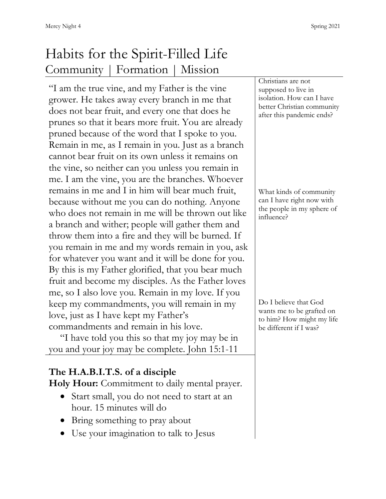## Habits for the Spirit-Filled Life Community | Formation | Mission

"I am the true vine, and my Father is the vine grower. He takes away every branch in me that does not bear fruit, and every one that does he prunes so that it bears more fruit. You are already pruned because of the word that I spoke to you. Remain in me, as I remain in you. Just as a branch cannot bear fruit on its own unless it remains on the vine, so neither can you unless you remain in me. I am the vine, you are the branches. Whoever remains in me and I in him will bear much fruit, because without me you can do nothing. Anyone who does not remain in me will be thrown out like a branch and wither; people will gather them and throw them into a fire and they will be burned. If you remain in me and my words remain in you, ask for whatever you want and it will be done for you. By this is my Father glorified, that you bear much fruit and become my disciples. As the Father loves me, so I also love you. Remain in my love. If you keep my commandments, you will remain in my love, just as I have kept my Father's commandments and remain in his love.

"I have told you this so that my joy may be in you and your joy may be complete. John 15:1-11

## **The H.A.B.I.T.S. of a disciple**

**Holy Hour:** Commitment to daily mental prayer.

- Start small, you do not need to start at an hour. 15 minutes will do
- Bring something to pray about
- Use your imagination to talk to Jesus

Christians are not supposed to live in isolation. How can I have better Christian community after this pandemic ends?

What kinds of community can I have right now with the people in my sphere of influence?

Do I believe that God wants me to be grafted on to him? How might my life be different if I was?